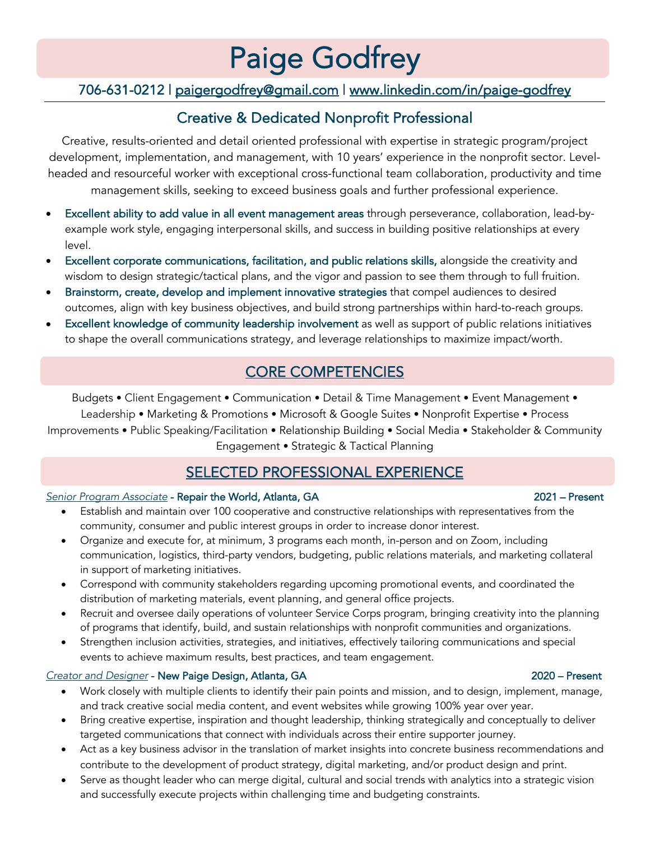# Paige Godfrey<br>706-631-0212 | paigergodfrey@gmail.com | www.linkedin.com/in/paige-godfrey

# Creative & Dedicated Nonprofit Professional

Creative, results-oriented and detail oriented professional with expertise in strategic program/project development, implementation, and management, with 10 years' experience in the nonprofit sector. Levelheaded and resourceful worker with exceptional cross-functional team collaboration, productivity and time management skills, seeking to exceed business goals and further professional experience.

- Excellent ability to add value in all event management areas through perseverance, collaboration, lead-byexample work style, engaging interpersonal skills, and success in building positive relationships at every level.
- Excellent corporate communications, facilitation, and public relations skills, alongside the creativity and wisdom to design strategic/tactical plans, and the vigor and passion to see them through to full fruition.
- Brainstorm, create, develop and implement innovative strategies that compel audiences to desired outcomes, align with key business objectives, and build strong partnerships within hard-to-reach groups.
- Excellent knowledge of community leadership involvement as well as support of public relations initiatives to shape the overall communications strategy, and leverage relationships to maximize impact/worth.

## CORE COMPETENCIES

Budgets • Client Engagement • Communication • Detail & Time Management • Event Management • Leadership • Marketing & Promotions • Microsoft & Google Suites • Nonprofit Expertise • Process Improvements • Public Speaking/Facilitation • Relationship Building • Social Media • Stakeholder & Community Engagement • Strategic & Tactical Planning

### SELECTED PROFESSIONAL EXPERIENCE

### *Senior Program Associate* - Repair the World, Atlanta, GA 2021 – Present

- Establish and maintain over 100 cooperative and constructive relationships with representatives from the community, consumer and public interest groups in order to increase donor interest.
- Organize and execute for, at minimum, 3 programs each month, in-person and on Zoom, including communication, logistics, third-party vendors, budgeting, public relations materials, and marketing collateral in support of marketing initiatives.
- Correspond with community stakeholders regarding upcoming promotional events, and coordinated the distribution of marketing materials, event planning, and general office projects.
- Recruit and oversee daily operations of volunteer Service Corps program, bringing creativity into the planning of programs that identify, build, and sustain relationships with nonprofit communities and organizations.
- Strengthen inclusion activities, strategies, and initiatives, effectively tailoring communications and special events to achieve maximum results, best practices, and team engagement.

### *Creator and Designer* - New Paige Design, Atlanta, GA 2020 – Present

- Work closely with multiple clients to identify their pain points and mission, and to design, implement, manage, and track creative social media content, and event websites while growing 100% year over year.
- Bring creative expertise, inspiration and thought leadership, thinking strategically and conceptually to deliver targeted communications that connect with individuals across their entire supporter journey.
- Act as a key business advisor in the translation of market insights into concrete business recommendations and contribute to the development of product strategy, digital marketing, and/or product design and print.
- Serve as thought leader who can merge digital, cultural and social trends with analytics into a strategic vision and successfully execute projects within challenging time and budgeting constraints.